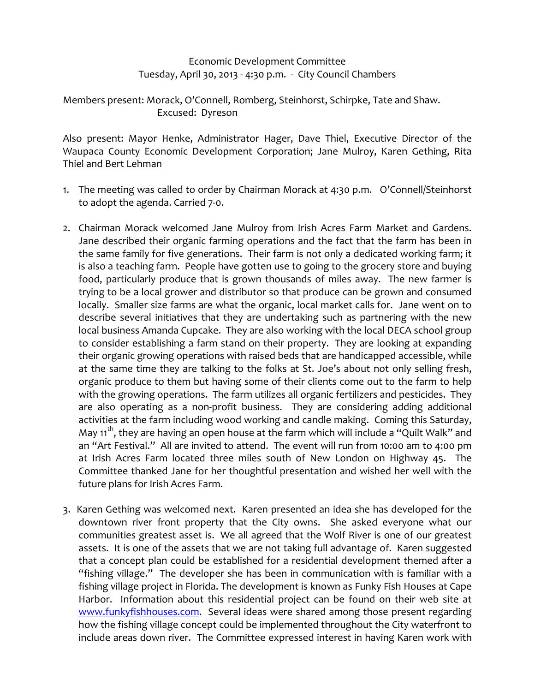## Economic Development Committee Tuesday, April 30, 2013 ‐ 4:30 p.m. ‐ City Council Chambers

## Members present: Morack, O'Connell, Romberg, Steinhorst, Schirpke, Tate and Shaw. Excused: Dyreson

Also present: Mayor Henke, Administrator Hager, Dave Thiel, Executive Director of the Waupaca County Economic Development Corporation; Jane Mulroy, Karen Gething, Rita Thiel and Bert Lehman

- 1. The meeting was called to order by Chairman Morack at 4:30 p.m. O'Connell/Steinhorst to adopt the agenda. Carried 7‐0.
- 2. Chairman Morack welcomed Jane Mulroy from Irish Acres Farm Market and Gardens. Jane described their organic farming operations and the fact that the farm has been in the same family for five generations. Their farm is not only a dedicated working farm; it is also a teaching farm. People have gotten use to going to the grocery store and buying food, particularly produce that is grown thousands of miles away. The new farmer is trying to be a local grower and distributor so that produce can be grown and consumed locally. Smaller size farms are what the organic, local market calls for. Jane went on to describe several initiatives that they are undertaking such as partnering with the new local business Amanda Cupcake. They are also working with the local DECA school group to consider establishing a farm stand on their property. They are looking at expanding their organic growing operations with raised beds that are handicapped accessible, while at the same time they are talking to the folks at St. Joe's about not only selling fresh, organic produce to them but having some of their clients come out to the farm to help with the growing operations. The farm utilizes all organic fertilizers and pesticides. They are also operating as a non-profit business. They are considering adding additional activities at the farm including wood working and candle making. Coming this Saturday, May 11<sup>th</sup>, they are having an open house at the farm which will include a "Quilt Walk" and an "Art Festival." All are invited to attend. The event will run from 10:00 am to 4:00 pm at Irish Acres Farm located three miles south of New London on Highway 45. The Committee thanked Jane for her thoughtful presentation and wished her well with the future plans for Irish Acres Farm.
- 3. Karen Gething was welcomed next. Karen presented an idea she has developed for the downtown river front property that the City owns. She asked everyone what our communities greatest asset is. We all agreed that the Wolf River is one of our greatest assets. It is one of the assets that we are not taking full advantage of. Karen suggested that a concept plan could be established for a residential development themed after a "fishing village." The developer she has been in communication with is familiar with a fishing village project in Florida. The development is known as Funky Fish Houses at Cape Harbor. Information about this residential project can be found on their web site at www.funkyfishhouses.com. Several ideas were shared among those present regarding how the fishing village concept could be implemented throughout the City waterfront to include areas down river. The Committee expressed interest in having Karen work with